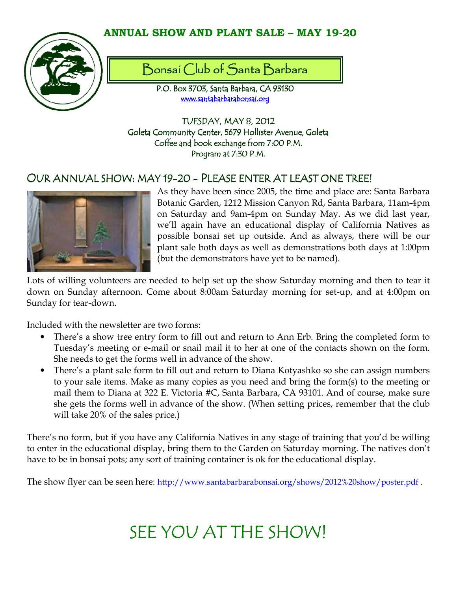# ANNUAL SHOW AND PLANT SALE – MAY 19-20



# Bonsai Club of Santa Barbara

P.O. Box 3703, Santa Barbara, CA 93130 www.santabarbarabonsai.org

TUESDAY, MAY 8, 2012 Goleta Community Center, 5679 Hollister Avenue, Goleta Coffee and book exchange from 7:00 P.M. Program at 7:30 P.M.

# OUR ANNUAL SHOW: MAY 19-20 - PLEASE ENTER AT LEAST ONE TREE!



As they have been since 2005, the time and place are: Santa Barbara Botanic Garden, 1212 Mission Canyon Rd, Santa Barbara, 11am-4pm on Saturday and 9am-4pm on Sunday May. As we did last year, we'll again have an educational display of California Natives as possible bonsai set up outside. And as always, there will be our plant sale both days as well as demonstrations both days at 1:00pm (but the demonstrators have yet to be named).

Lots of willing volunteers are needed to help set up the show Saturday morning and then to tear it down on Sunday afternoon. Come about 8:00am Saturday morning for set-up, and at 4:00pm on Sunday for tear-down.

Included with the newsletter are two forms:

- There's a show tree entry form to fill out and return to Ann Erb. Bring the completed form to Tuesday's meeting or e-mail or snail mail it to her at one of the contacts shown on the form. She needs to get the forms well in advance of the show.
- There's a plant sale form to fill out and return to Diana Kotyashko so she can assign numbers to your sale items. Make as many copies as you need and bring the form(s) to the meeting or mail them to Diana at 322 E. Victoria #C, Santa Barbara, CA 93101. And of course, make sure she gets the forms well in advance of the show. (When setting prices, remember that the club will take 20% of the sales price.)

There's no form, but if you have any California Natives in any stage of training that you'd be willing to enter in the educational display, bring them to the Garden on Saturday morning. The natives don't have to be in bonsai pots; any sort of training container is ok for the educational display.

The show flyer can be seen here: http://www.santabarbarabonsai.org/shows/2012%20show/poster.pdf .

# SEE YOU AT THE SHOW!